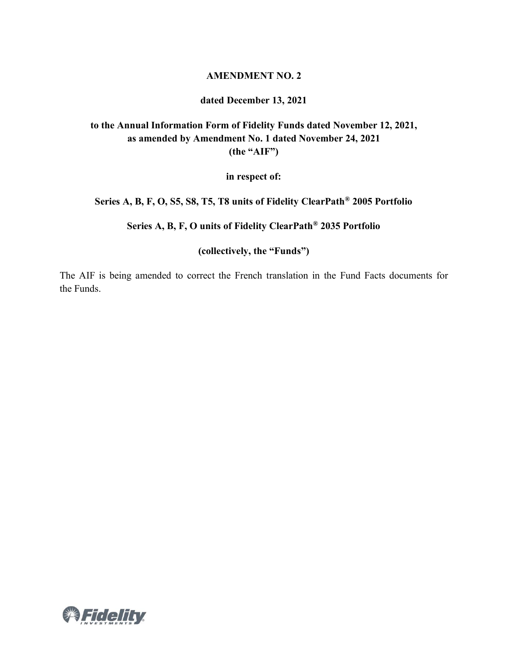### **AMENDMENT NO. 2**

### **dated December 13, 2021**

## **to the Annual Information Form of Fidelity Funds dated November 12, 2021, as amended by Amendment No. 1 dated November 24, 2021 (the "AIF")**

**in respect of:**

**Series A, B, F, O, S5, S8, T5, T8 units of Fidelity ClearPath® 2005 Portfolio**

**Series A, B, F, O units of Fidelity ClearPath® 2035 Portfolio**

**(collectively, the "Funds")**

The AIF is being amended to correct the French translation in the Fund Facts documents for the Funds.